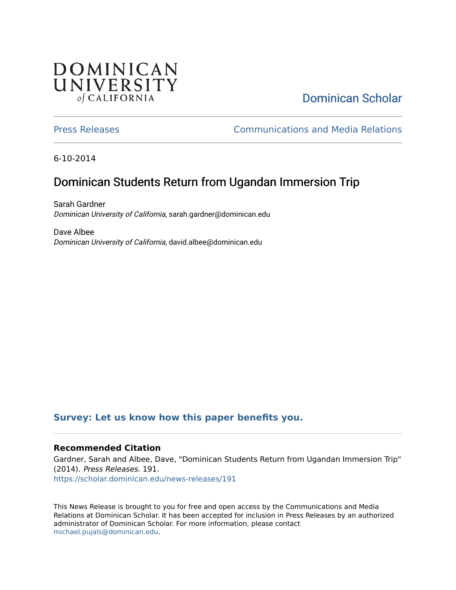### **DOMINICAN** UNIVERSITY of CALIFORNIA

# [Dominican Scholar](https://scholar.dominican.edu/)

[Press Releases](https://scholar.dominican.edu/news-releases) [Communications and Media Relations](https://scholar.dominican.edu/communications-media) 

6-10-2014

# Dominican Students Return from Ugandan Immersion Trip

Sarah Gardner Dominican University of California, sarah.gardner@dominican.edu

Dave Albee Dominican University of California, david.albee@dominican.edu

#### **[Survey: Let us know how this paper benefits you.](https://dominican.libwizard.com/dominican-scholar-feedback)**

#### **Recommended Citation**

Gardner, Sarah and Albee, Dave, "Dominican Students Return from Ugandan Immersion Trip" (2014). Press Releases. 191. [https://scholar.dominican.edu/news-releases/191](https://scholar.dominican.edu/news-releases/191?utm_source=scholar.dominican.edu%2Fnews-releases%2F191&utm_medium=PDF&utm_campaign=PDFCoverPages)

This News Release is brought to you for free and open access by the Communications and Media Relations at Dominican Scholar. It has been accepted for inclusion in Press Releases by an authorized administrator of Dominican Scholar. For more information, please contact [michael.pujals@dominican.edu.](mailto:michael.pujals@dominican.edu)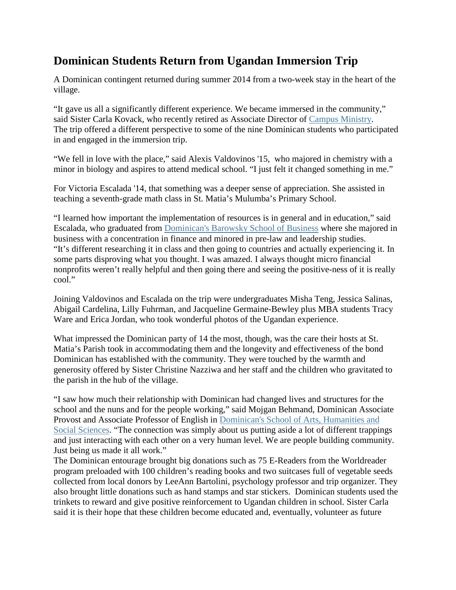#### **Dominican Students Return from Ugandan Immersion Trip**

A Dominican contingent returned during summer 2014 from a two-week stay in the heart of the village.

"It gave us all a significantly different experience. We became immersed in the community," said Sister Carla Kovack, who recently retired as Associate Director of [Campus Ministry.](http://www.dominican.edu/campus-life/current/studentlife/campusministry) The trip offered a different perspective to some of the nine Dominican students who participated in and engaged in the immersion trip.

"We fell in love with the place," said Alexis Valdovinos '15, who majored in chemistry with a minor in biology and aspires to attend medical school. "I just felt it changed something in me."

For Victoria Escalada '14, that something was a deeper sense of appreciation. She assisted in teaching a seventh-grade math class in St. Matia's Mulumba's Primary School.

"I learned how important the implementation of resources is in general and in education," said Escalada, who graduated from [Dominican's Barowsky School of Business](http://www.dominican.edu/academics/barowskyschoolofbusiness) where she majored in business with a concentration in finance and minored in pre-law and leadership studies. "It's different researching it in class and then going to countries and actually experiencing it. In some parts disproving what you thought. I was amazed. I always thought micro financial nonprofits weren't really helpful and then going there and seeing the positive-ness of it is really cool."

Joining Valdovinos and Escalada on the trip were undergraduates Misha Teng, Jessica Salinas, Abigail Cardelina, Lilly Fuhrman, and Jacqueline Germaine-Bewley plus MBA students Tracy Ware and Erica Jordan, who took wonderful photos of the Ugandan experience.

What impressed the Dominican party of 14 the most, though, was the care their hosts at St. Matia's Parish took in accommodating them and the longevity and effectiveness of the bond Dominican has established with the community. They were touched by the warmth and generosity offered by Sister Christine Nazziwa and her staff and the children who gravitated to the parish in the hub of the village.

"I saw how much their relationship with Dominican had changed lives and structures for the school and the nuns and for the people working," said Mojgan Behmand, Dominican Associate Provost and Associate Professor of English in [Dominican's School of Arts, Humanities and](http://www.dominican.edu/academics/ahss)  [Social Sciences.](http://www.dominican.edu/academics/ahss) "The connection was simply about us putting aside a lot of different trappings and just interacting with each other on a very human level. We are people building community. Just being us made it all work."

The Dominican entourage brought big donations such as 75 E-Readers from the Worldreader program preloaded with 100 children's reading books and two suitcases full of vegetable seeds collected from local donors by LeeAnn Bartolini, psychology professor and trip organizer. They also brought little donations such as hand stamps and star stickers. Dominican students used the trinkets to reward and give positive reinforcement to Ugandan children in school. Sister Carla said it is their hope that these children become educated and, eventually, volunteer as future